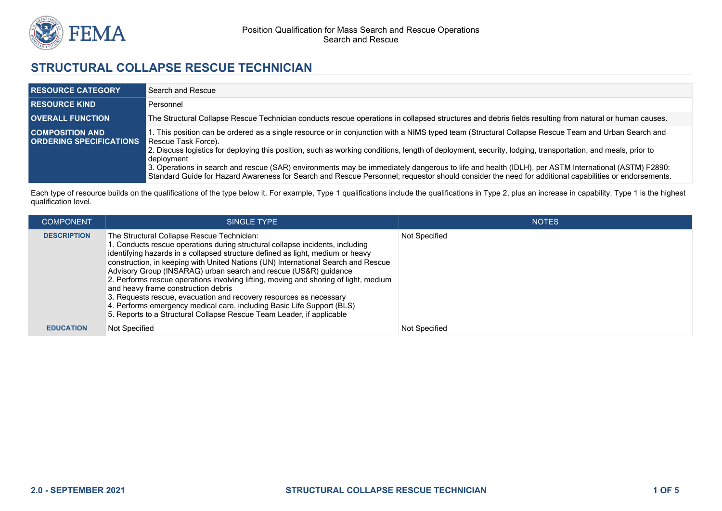

## **STRUCTURAL COLLAPSE RESCUE TECHNICIAN**

| <b>RESOURCE CATEGORY</b>                                 | Search and Rescue                                                                                                                                                                                                                                                                                                                                                                                                                                                                                                                                                                                                                                                    |
|----------------------------------------------------------|----------------------------------------------------------------------------------------------------------------------------------------------------------------------------------------------------------------------------------------------------------------------------------------------------------------------------------------------------------------------------------------------------------------------------------------------------------------------------------------------------------------------------------------------------------------------------------------------------------------------------------------------------------------------|
| <b>RESOURCE KIND</b>                                     | Personnel                                                                                                                                                                                                                                                                                                                                                                                                                                                                                                                                                                                                                                                            |
| <b>OVERALL FUNCTION</b>                                  | The Structural Collapse Rescue Technician conducts rescue operations in collapsed structures and debris fields resulting from natural or human causes.                                                                                                                                                                                                                                                                                                                                                                                                                                                                                                               |
| <b>COMPOSITION AND</b><br><b>ORDERING SPECIFICATIONS</b> | 1. This position can be ordered as a single resource or in conjunction with a NIMS typed team (Structural Collapse Rescue Team and Urban Search and<br>Rescue Task Force).<br>2. Discuss logistics for deploying this position, such as working conditions, length of deployment, security, lodging, transportation, and meals, prior to<br>deployment<br>3. Operations in search and rescue (SAR) environments may be immediately dangerous to life and health (IDLH), per ASTM International (ASTM) F2890:<br>Standard Guide for Hazard Awareness for Search and Rescue Personnel; requestor should consider the need for additional capabilities or endorsements. |

Each type of resource builds on the qualifications of the type below it. For example, Type 1 qualifications include the qualifications in Type 2, plus an increase in capability. Type 1 is the highest qualification level.

| <b>COMPONENT</b>   | SINGLE TYPE                                                                                                                                                                                                                                                                                                                                                                                                                                                                                                                                                                                                                                                                                                                    | <b>NOTES</b>         |
|--------------------|--------------------------------------------------------------------------------------------------------------------------------------------------------------------------------------------------------------------------------------------------------------------------------------------------------------------------------------------------------------------------------------------------------------------------------------------------------------------------------------------------------------------------------------------------------------------------------------------------------------------------------------------------------------------------------------------------------------------------------|----------------------|
| <b>DESCRIPTION</b> | The Structural Collapse Rescue Technician:<br>1. Conducts rescue operations during structural collapse incidents, including<br>identifying hazards in a collapsed structure defined as light, medium or heavy<br>construction, in keeping with United Nations (UN) International Search and Rescue<br>Advisory Group (INSARAG) urban search and rescue (US&R) guidance<br>2. Performs rescue operations involving lifting, moving and shoring of light, medium<br>and heavy frame construction debris<br>3. Requests rescue, evacuation and recovery resources as necessary<br>4. Performs emergency medical care, including Basic Life Support (BLS)<br>5. Reports to a Structural Collapse Rescue Team Leader, if applicable | Not Specified        |
| <b>EDUCATION</b>   | Not Specified                                                                                                                                                                                                                                                                                                                                                                                                                                                                                                                                                                                                                                                                                                                  | <b>Not Specified</b> |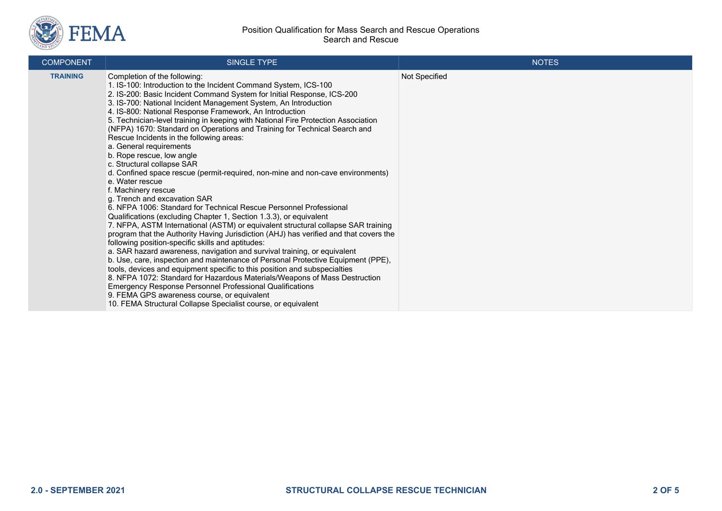

| <b>COMPONENT</b> | <b>SINGLE TYPE</b>                                                                                                                                                                                                                                                                                                                                                                                                                                                                                                                                                                                                                                                                                                                                                                                                                                                                                                                                                                                                                                                                                                                                                                                                                                                                                                                                                                                                                                                                                                                                                                                                                                            | <b>NOTES</b>  |
|------------------|---------------------------------------------------------------------------------------------------------------------------------------------------------------------------------------------------------------------------------------------------------------------------------------------------------------------------------------------------------------------------------------------------------------------------------------------------------------------------------------------------------------------------------------------------------------------------------------------------------------------------------------------------------------------------------------------------------------------------------------------------------------------------------------------------------------------------------------------------------------------------------------------------------------------------------------------------------------------------------------------------------------------------------------------------------------------------------------------------------------------------------------------------------------------------------------------------------------------------------------------------------------------------------------------------------------------------------------------------------------------------------------------------------------------------------------------------------------------------------------------------------------------------------------------------------------------------------------------------------------------------------------------------------------|---------------|
| <b>TRAINING</b>  | Completion of the following:<br>1. IS-100: Introduction to the Incident Command System, ICS-100<br>2. IS-200: Basic Incident Command System for Initial Response, ICS-200<br>3. IS-700: National Incident Management System, An Introduction<br>4. IS-800: National Response Framework, An Introduction<br>5. Technician-level training in keeping with National Fire Protection Association<br>(NFPA) 1670: Standard on Operations and Training for Technical Search and<br>Rescue Incidents in the following areas:<br>a. General requirements<br>b. Rope rescue, low angle<br>c. Structural collapse SAR<br>d. Confined space rescue (permit-required, non-mine and non-cave environments)<br>e. Water rescue<br>f. Machinery rescue<br>g. Trench and excavation SAR<br>6. NFPA 1006: Standard for Technical Rescue Personnel Professional<br>Qualifications (excluding Chapter 1, Section 1.3.3), or equivalent<br>7. NFPA, ASTM International (ASTM) or equivalent structural collapse SAR training<br>program that the Authority Having Jurisdiction (AHJ) has verified and that covers the<br>following position-specific skills and aptitudes:<br>a. SAR hazard awareness, navigation and survival training, or equivalent<br>b. Use, care, inspection and maintenance of Personal Protective Equipment (PPE),<br>tools, devices and equipment specific to this position and subspecialties<br>8. NFPA 1072: Standard for Hazardous Materials/Weapons of Mass Destruction<br>Emergency Response Personnel Professional Qualifications<br>9. FEMA GPS awareness course, or equivalent<br>10. FEMA Structural Collapse Specialist course, or equivalent | Not Specified |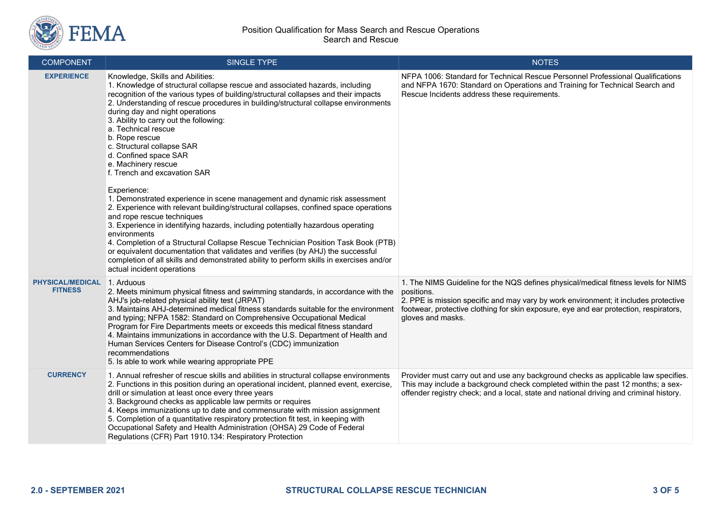

| <b>COMPONENT</b>                          | <b>SINGLE TYPE</b>                                                                                                                                                                                                                                                                                                                                                                                                                                                                                                                                                                                                                                                                                                                                                                                                                                                                                                                                                                                                                                                                                                                                       | <b>NOTES</b>                                                                                                                                                                                                                                                                                          |
|-------------------------------------------|----------------------------------------------------------------------------------------------------------------------------------------------------------------------------------------------------------------------------------------------------------------------------------------------------------------------------------------------------------------------------------------------------------------------------------------------------------------------------------------------------------------------------------------------------------------------------------------------------------------------------------------------------------------------------------------------------------------------------------------------------------------------------------------------------------------------------------------------------------------------------------------------------------------------------------------------------------------------------------------------------------------------------------------------------------------------------------------------------------------------------------------------------------|-------------------------------------------------------------------------------------------------------------------------------------------------------------------------------------------------------------------------------------------------------------------------------------------------------|
| <b>EXPERIENCE</b>                         | Knowledge, Skills and Abilities:<br>1. Knowledge of structural collapse rescue and associated hazards, including<br>recognition of the various types of building/structural collapses and their impacts<br>2. Understanding of rescue procedures in building/structural collapse environments<br>during day and night operations<br>3. Ability to carry out the following:<br>a. Technical rescue<br>b. Rope rescue<br>c. Structural collapse SAR<br>d. Confined space SAR<br>e. Machinery rescue<br>f. Trench and excavation SAR<br>Experience:<br>1. Demonstrated experience in scene management and dynamic risk assessment<br>2. Experience with relevant building/structural collapses, confined space operations<br>and rope rescue techniques<br>3. Experience in identifying hazards, including potentially hazardous operating<br>environments<br>4. Completion of a Structural Collapse Rescue Technician Position Task Book (PTB)<br>or equivalent documentation that validates and verifies (by AHJ) the successful<br>completion of all skills and demonstrated ability to perform skills in exercises and/or<br>actual incident operations | NFPA 1006: Standard for Technical Rescue Personnel Professional Qualifications<br>and NFPA 1670: Standard on Operations and Training for Technical Search and<br>Rescue Incidents address these requirements.                                                                                         |
| <b>PHYSICAL/MEDICAL</b><br><b>FITNESS</b> | 1. Arduous<br>2. Meets minimum physical fitness and swimming standards, in accordance with the<br>AHJ's job-related physical ability test (JRPAT)<br>3. Maintains AHJ-determined medical fitness standards suitable for the environment<br>and typing; NFPA 1582: Standard on Comprehensive Occupational Medical<br>Program for Fire Departments meets or exceeds this medical fitness standard<br>4. Maintains immunizations in accordance with the U.S. Department of Health and<br>Human Services Centers for Disease Control's (CDC) immunization<br>recommendations<br>5. Is able to work while wearing appropriate PPE                                                                                                                                                                                                                                                                                                                                                                                                                                                                                                                             | 1. The NIMS Guideline for the NQS defines physical/medical fitness levels for NIMS<br>positions.<br>2. PPE is mission specific and may vary by work environment; it includes protective<br>footwear, protective clothing for skin exposure, eye and ear protection, respirators,<br>gloves and masks. |
| <b>CURRENCY</b>                           | 1. Annual refresher of rescue skills and abilities in structural collapse environments<br>2. Functions in this position during an operational incident, planned event, exercise,<br>drill or simulation at least once every three years<br>3. Background checks as applicable law permits or requires<br>4. Keeps immunizations up to date and commensurate with mission assignment<br>5. Completion of a quantitative respiratory protection fit test, in keeping with<br>Occupational Safety and Health Administration (OHSA) 29 Code of Federal<br>Regulations (CFR) Part 1910.134: Respiratory Protection                                                                                                                                                                                                                                                                                                                                                                                                                                                                                                                                            | Provider must carry out and use any background checks as applicable law specifies.<br>This may include a background check completed within the past 12 months; a sex-<br>offender registry check; and a local, state and national driving and criminal history.                                       |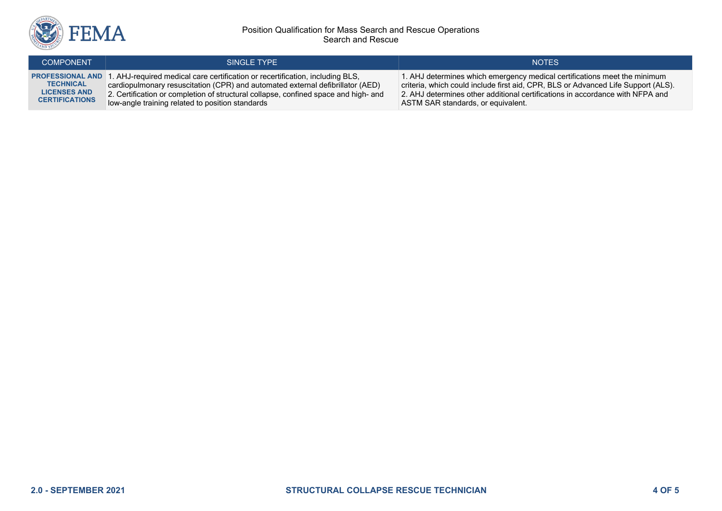

## Position Qualification for Mass Search and Rescue Operations Search and Rescue

| <b>COMPONENT</b>        | SINGLE TYPE                                                                         | <b>NOTES</b>                                                                          |
|-------------------------|-------------------------------------------------------------------------------------|---------------------------------------------------------------------------------------|
| <b>PROFESSIONAL AND</b> | I. AHJ-required medical care certification or recertification, including BLS,       | 1. AHJ determines which emergency medical certifications meet the minimum             |
| <b>TECHNICAL</b>        | cardiopulmonary resuscitation (CPR) and automated external defibrillator (AED)      | criteria, which could include first aid, CPR, BLS or Advanced Life Support (ALS).     |
| <b>LICENSES AND</b>     | 2. Certification or completion of structural collapse, confined space and high- and | $\vert$ 2. AHJ determines other additional certifications in accordance with NFPA and |
| <b>CERTIFICATIONS</b>   | low-angle training related to position standards                                    | ASTM SAR standards, or equivalent.                                                    |